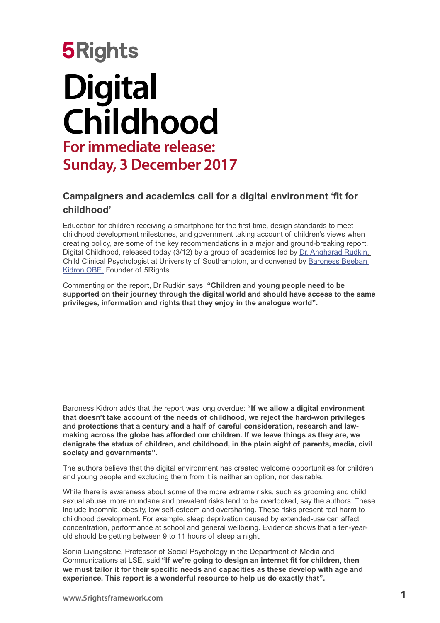# **5Rights Digital Childhood For immediate release: Sunday, 3 December 2017**

### **Campaigners and academics call for a digital environment 'fit for childhood'**

Education for children receiving a smartphone for the first time, design standards to meet childhood development milestones, and government taking account of children's views when creating policy, are some of the key recommendations in a major and ground-breaking report, Digital Childhood, released today (3/12) by a gr[ou](http://5rightsframework.com/)p of academics led by [Dr. Angharad Rudkin,](https://www.southampton.ac.uk/psychology/about/staff/ar2r07.page) Child Clinical Psychologist at University of Southampton, and convened by [Baroness Beeban](https://en.wikipedia.org/wiki/Beeban_Kidron)  [Kidron OBE,](https://en.wikipedia.org/wiki/Beeban_Kidron) Founder of 5Rights.

Commenting on the report, Dr Rudkin says: **"Children and young people need to be supported on their journey through the digital world and should have access to the same privileges, information and rights that they enjoy in the analogue world".**

Baroness Kidron adds that the report was long overdue: **"If we allow a digital environment that doesn't take account of the needs of childhood, we reject the hard-won privileges and protections that a century and a half of careful consideration, research and lawmaking across the globe has afforded our children. If we leave things as they are, we denigrate the status of children, and childhood, in the plain sight of parents, media, civil society and governments".**

The authors believe that the digital environment has created welcome opportunities for children and young people and excluding them from it is neither an option, nor desirable.

While there is awareness about some of the more extreme risks, such as grooming and child sexual abuse, more mundane and prevalent risks tend to be overlooked, say the authors. These include insomnia, obesity, low self-esteem and oversharing. These risks present real harm to childhood development. For example, sleep deprivation caused by extended-use can affect concentration, performance at school and general wellbeing. Evidence shows that a ten-yearold should be getting between 9 to 11 hours of sleep a night.

Sonia Livingstone, Professor of Social Psychology in the Department of Media and Communications at LSE, said **"If we're going to design an internet fit for children, then we must tailor it for their specific needs and capacities as these develop with age and experience. This report is a wonderful resource to help us do exactly that".**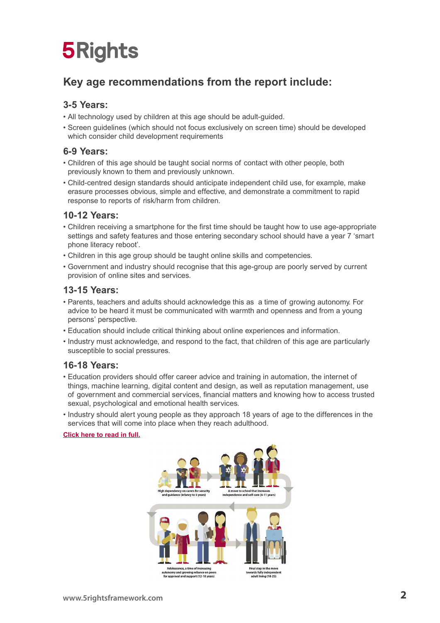## **5Rights**

## **Key age recommendations from the report include:**

#### **3-5 Years:**

- All technology used by children at this age should be adult-guided.
- Screen guidelines (which should not focus exclusively on screen time) should be developed which consider child development requirements

### **6-9 Years:**

- Children of this age should be taught social norms of contact with other people, both previously known to them and previously unknown.
- Child-centred design standards should anticipate independent child use, for example, make erasure processes obvious, simple and effective, and demonstrate a commitment to rapid response to reports of risk/harm from children.

### **10-12 Years:**

- Children receiving a smartphone for the first time should be taught how to use age-appropriate settings and safety features and those entering secondary school should have a year 7 'smart phone literacy reboot'.
- Children in this age group should be taught online skills and competencies.
- Government and industry should recognise that this age-group are poorly served by current provision of online sites and services.

### **13-15 Years:**

- Parents, teachers and adults should acknowledge this as a time of growing autonomy. For advice to be heard it must be communicated with warmth and openness and from a young persons' perspective.
- Education should include critical thinking about online experiences and information.
- Industry must acknowledge, and respond to the fact, that children of this age are particularly susceptible to social pressures.

#### **16-18 Years:**

- Education providers should offer career advice and training in automation, the internet of things, machine learning, digital content and design, as well as reputation management, use of government and commercial services, financial matters and knowing how to access trusted sexual, psychological and emotional health services.
- Industry should alert young people as they approach 18 years of age to the differences in the services that will come into place when they reach adulthood.

#### **[Click here to read in full.](http://5rightsframework.com/static/Digital_Childhood_report_-_EMBARGOED.pdf)**